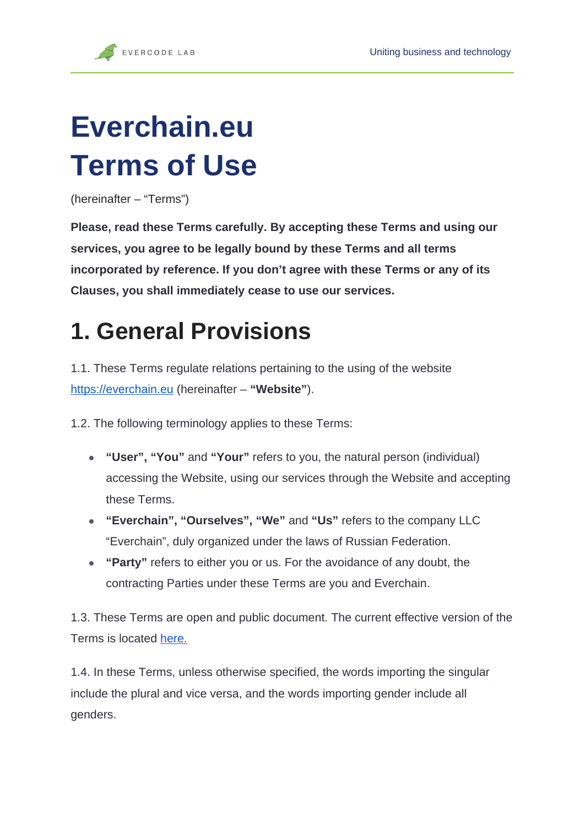# **Everchain.eu Terms of Use**

(hereinafter – "Terms")

**Please, read these Terms carefully. By accepting these Terms and using our services, you agree to be legally bound by these Terms and all terms incorporated by reference. If you don't agree with these Terms or any of its Clauses, you shall immediately cease to use our services.**

## **1. General Provisions**

1.1. These Terms regulate relations pertaining to the using of the websit[e](http://evercodelab.com) [https://everchain.eu](http://evercodelab.com) (hereinafter – **"Website"**).

1.2. The following terminology applies to these Terms:

- **"User", "You"** and **"Your"** refers to you, the natural person (individual) accessing the Website, using our services through the Website and accepting these Terms.
- **"Everchain", "Ourselves", "We"** and **"Us"** refers to the company LLC "Everchain", duly organized under the laws of Russian Federation.
- **"Party"** refers to either you or us. For the avoidance of any doubt, the contracting Parties under these Terms are you and Everchain.

1.3. These Terms are open and public document. The current effective version of the Terms is located [here.](https://everchain.eu/assets/docs/TermsofUse.pdf)

1.4. In these Terms, unless otherwise specified, the words importing the singular include the plural and vice versa, and the words importing gender include all genders.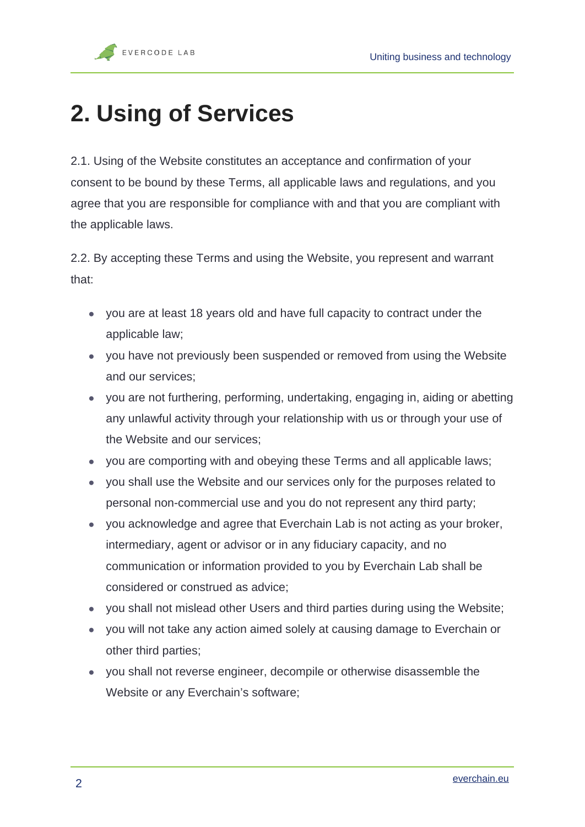## **2. Using of Services**

2.1. Using of the Website constitutes an acceptance and confirmation of your consent to be bound by these Terms, all applicable laws and regulations, and you agree that you are responsible for compliance with and that you are compliant with the applicable laws.

2.2. By accepting these Terms and using the Website, you represent and warrant that:

- you are at least 18 years old and have full capacity to contract under the applicable law;
- you have not previously been suspended or removed from using the Website and our services;
- you are not furthering, performing, undertaking, engaging in, aiding or abetting any unlawful activity through your relationship with us or through your use of the Website and our services;
- you are comporting with and obeying these Terms and all applicable laws;
- you shall use the Website and our services only for the purposes related to personal non-commercial use and you do not represent any third party;
- you acknowledge and agree that Everchain Lab is not acting as your broker, intermediary, agent or advisor or in any fiduciary capacity, and no communication or information provided to you by Everchain Lab shall be considered or construed as advice;
- you shall not mislead other Users and third parties during using the Website;
- you will not take any action aimed solely at causing damage to Everchain or other third parties;
- you shall not reverse engineer, decompile or otherwise disassemble the Website or any Everchain's software;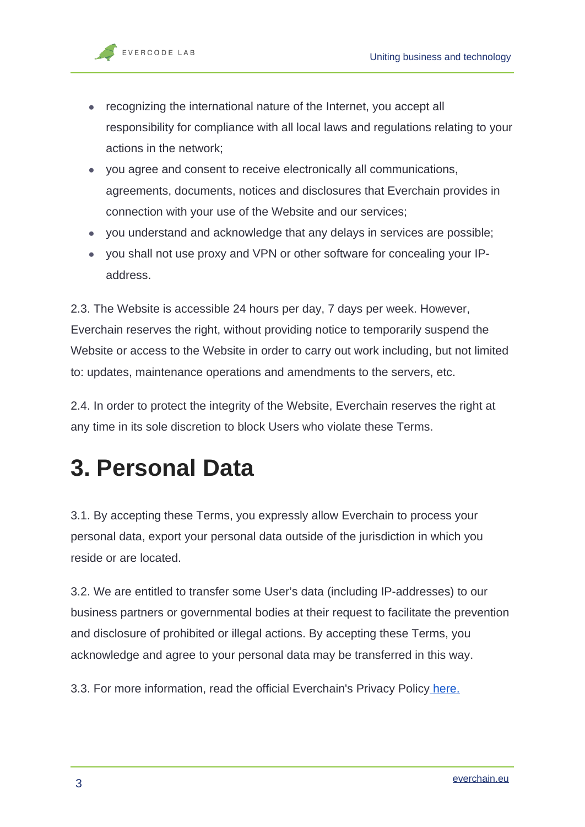- recognizing the international nature of the Internet, you accept all responsibility for compliance with all local laws and regulations relating to your actions in the network;
- you agree and consent to receive electronically all communications, agreements, documents, notices and disclosures that Everchain provides in connection with your use of the Website and our services;
- you understand and acknowledge that any delays in services are possible;
- you shall not use proxy and VPN or other software for concealing your IPaddress.

2.3. The Website is accessible 24 hours per day, 7 days per week. However, Everchain reserves the right, without providing notice to temporarily suspend the Website or access to the Website in order to carry out work including, but not limited to: updates, maintenance operations and amendments to the servers, etc.

2.4. In order to protect the integrity of the Website, Everchain reserves the right at any time in its sole discretion to block Users who violate these Terms.

## **3. Personal Data**

3.1. By accepting these Terms, you expressly allow Everchain to process your personal data, export your personal data outside of the jurisdiction in which you reside or are located.

3.2. We are entitled to transfer some User's data (including IP-addresses) to our business partners or governmental bodies at their request to facilitate the prevention and disclosure of prohibited or illegal actions. By accepting these Terms, you acknowledge and agree to your personal data may be transferred in this way.

3.3. For more information, read the official Everchain's Privacy Policy [here.](https://evercodelab.com/Privacy/Privacy.pdf)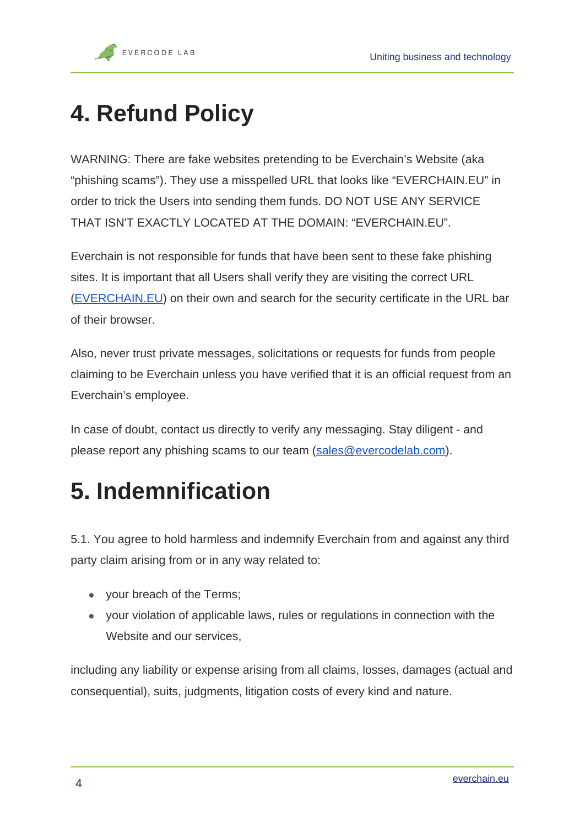## **4. Refund Policy**

WARNING: There are fake websites pretending to be Everchain's Website (aka "phishing scams"). They use a misspelled URL that looks like "EVERCHAIN.EU" in order to trick the Users into sending them funds. DO NOT USE ANY SERVICE THAT ISN'T EXACTLY LOCATED AT THE DOMAIN: "EVERCHAIN.EU".

Everchain is not responsible for funds that have been sent to these fake phishing sites. It is important that all Users shall verify they are visiting the correct URL ([EVERCHAIN.EU](http://evercodelab.com)) on their own and search for the security certificate in the URL bar of their browser.

Also, never trust private messages, solicitations or requests for funds from people claiming to be Everchain unless you have verified that it is an official request from an Everchain's employee.

In case of doubt, contact us directly to verify any messaging. Stay diligent - and please report any phishing scams to our team [\(sales@evercodelab.com\)](mailto:hello@evercodelab.com).

## **5. Indemnification**

5.1. You agree to hold harmless and indemnify Everchain from and against any third party claim arising from or in any way related to:

- your breach of the Terms;
- your violation of applicable laws, rules or regulations in connection with the Website and our services,

including any liability or expense arising from all claims, losses, damages (actual and consequential), suits, judgments, litigation costs of every kind and nature.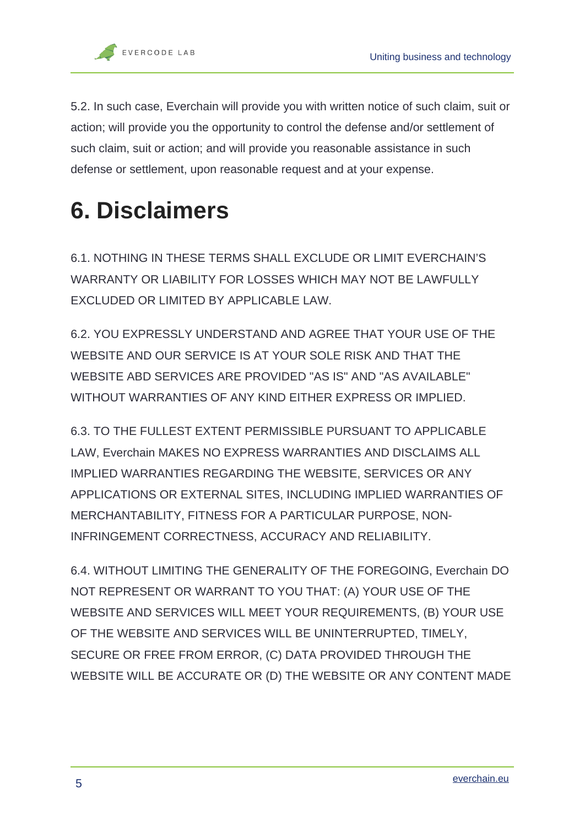5.2. In such case, Everchain will provide you with written notice of such claim, suit or action; will provide you the opportunity to control the defense and/or settlement of such claim, suit or action; and will provide you reasonable assistance in such defense or settlement, upon reasonable request and at your expense.

## **6. Disclaimers**

6.1. NOTHING IN THESE TERMS SHALL EXCLUDE OR LIMIT EVERCHAIN'S WARRANTY OR LIABILITY FOR LOSSES WHICH MAY NOT BE LAWFULLY EXCLUDED OR LIMITED BY APPLICABLE LAW.

6.2. YOU EXPRESSLY UNDERSTAND AND AGREE THAT YOUR USE OF THE WEBSITE AND OUR SERVICE IS AT YOUR SOLE RISK AND THAT THE WEBSITE ABD SERVICES ARE PROVIDED "AS IS" AND "AS AVAILABLE" WITHOUT WARRANTIES OF ANY KIND EITHER EXPRESS OR IMPLIED.

6.3. TO THE FULLEST EXTENT PERMISSIBLE PURSUANT TO APPLICABLE LAW, Everchain MAKES NO EXPRESS WARRANTIES AND DISCLAIMS ALL IMPLIED WARRANTIES REGARDING THE WEBSITE, SERVICES OR ANY APPLICATIONS OR EXTERNAL SITES, INCLUDING IMPLIED WARRANTIES OF MERCHANTABILITY, FITNESS FOR A PARTICULAR PURPOSE, NON-INFRINGEMENT CORRECTNESS, ACCURACY AND RELIABILITY.

6.4. WITHOUT LIMITING THE GENERALITY OF THE FOREGOING, Everchain DO NOT REPRESENT OR WARRANT TO YOU THAT: (A) YOUR USE OF THE WEBSITE AND SERVICES WILL MEET YOUR REQUIREMENTS, (B) YOUR USE OF THE WEBSITE AND SERVICES WILL BE UNINTERRUPTED, TIMELY, SECURE OR FREE FROM ERROR, (C) DATA PROVIDED THROUGH THE WEBSITE WILL BE ACCURATE OR (D) THE WEBSITE OR ANY CONTENT MADE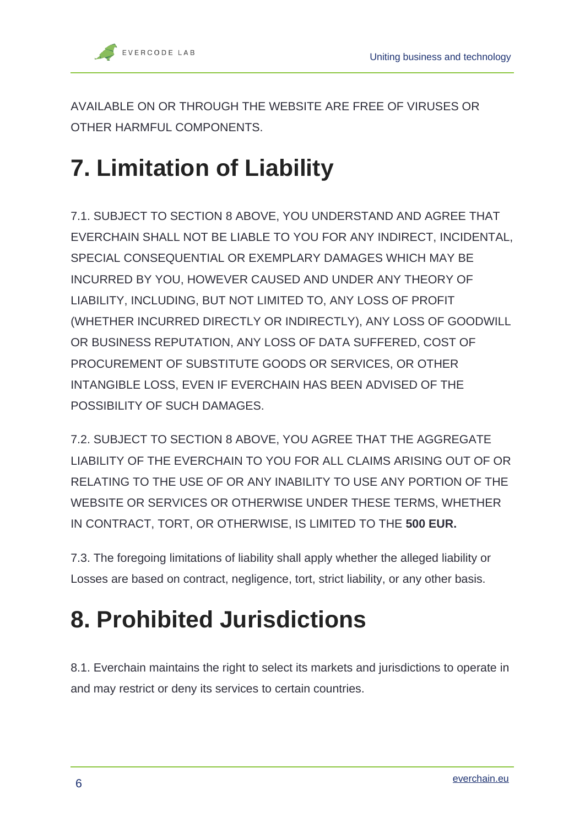AVAILABLE ON OR THROUGH THE WEBSITE ARE FREE OF VIRUSES OR OTHER HARMFUL COMPONENTS.

# **7. Limitation of Liability**

7.1. SUBJECT TO SECTION 8 ABOVE, YOU UNDERSTAND AND AGREE THAT EVERCHAIN SHALL NOT BE LIABLE TO YOU FOR ANY INDIRECT, INCIDENTAL, SPECIAL CONSEQUENTIAL OR EXEMPLARY DAMAGES WHICH MAY BE INCURRED BY YOU, HOWEVER CAUSED AND UNDER ANY THEORY OF LIABILITY, INCLUDING, BUT NOT LIMITED TO, ANY LOSS OF PROFIT (WHETHER INCURRED DIRECTLY OR INDIRECTLY), ANY LOSS OF GOODWILL OR BUSINESS REPUTATION, ANY LOSS OF DATA SUFFERED, COST OF PROCUREMENT OF SUBSTITUTE GOODS OR SERVICES, OR OTHER INTANGIBLE LOSS, EVEN IF EVERCHAIN HAS BEEN ADVISED OF THE POSSIBILITY OF SUCH DAMAGES.

7.2. SUBJECT TO SECTION 8 ABOVE, YOU AGREE THAT THE AGGREGATE LIABILITY OF THE EVERCHAIN TO YOU FOR ALL CLAIMS ARISING OUT OF OR RELATING TO THE USE OF OR ANY INABILITY TO USE ANY PORTION OF THE WEBSITE OR SERVICES OR OTHERWISE UNDER THESE TERMS, WHETHER IN CONTRACT, TORT, OR OTHERWISE, IS LIMITED TO THE **500 EUR.**

7.3. The foregoing limitations of liability shall apply whether the alleged liability or Losses are based on contract, negligence, tort, strict liability, or any other basis.

# **8. Prohibited Jurisdictions**

8.1. Everchain maintains the right to select its markets and jurisdictions to operate in and may restrict or deny its services to certain countries.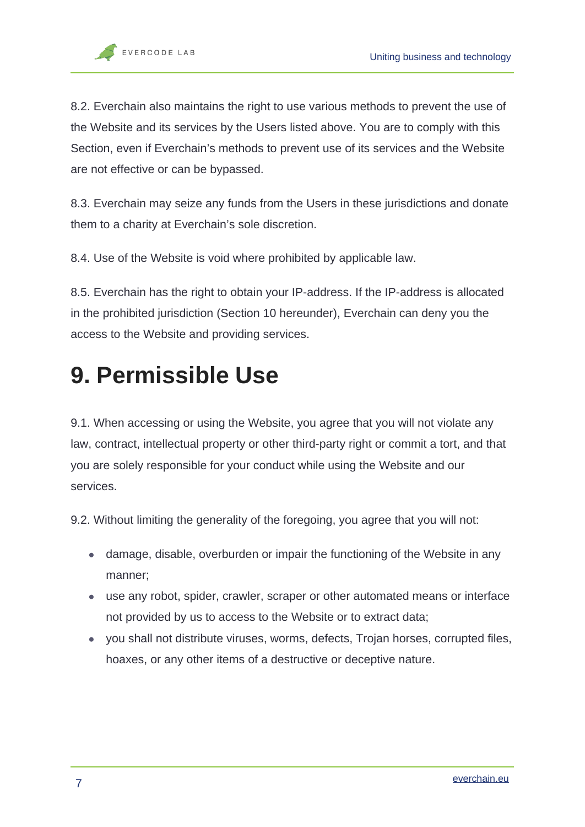8.2. Everchain also maintains the right to use various methods to prevent the use of the Website and its services by the Users listed above. You are to comply with this Section, even if Everchain's methods to prevent use of its services and the Website are not effective or can be bypassed.

8.3. Everchain may seize any funds from the Users in these jurisdictions and donate them to a charity at Everchain's sole discretion.

8.4. Use of the Website is void where prohibited by applicable law.

8.5. Everchain has the right to obtain your IP-address. If the IP-address is allocated in the prohibited jurisdiction (Section 10 hereunder), Everchain can deny you the access to the Website and providing services.

#### **9. Permissible Use**

9.1. When accessing or using the Website, you agree that you will not violate any law, contract, intellectual property or other third-party right or commit a tort, and that you are solely responsible for your conduct while using the Website and our services.

9.2. Without limiting the generality of the foregoing, you agree that you will not:

- damage, disable, overburden or impair the functioning of the Website in any manner;
- use any robot, spider, crawler, scraper or other automated means or interface not provided by us to access to the Website or to extract data;
- you shall not distribute viruses, worms, defects, Trojan horses, corrupted files, hoaxes, or any other items of a destructive or deceptive nature.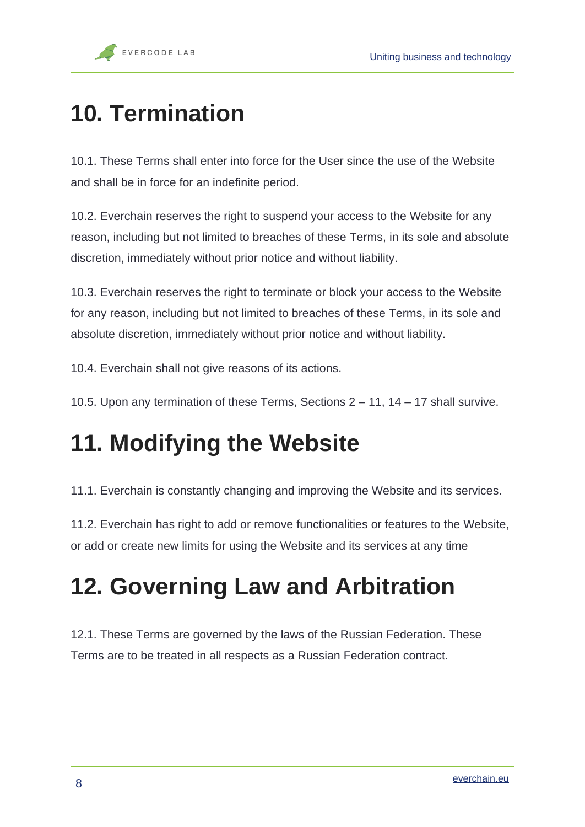## **10. Termination**

10.1. These Terms shall enter into force for the User since the use of the Website and shall be in force for an indefinite period.

10.2. Everchain reserves the right to suspend your access to the Website for any reason, including but not limited to breaches of these Terms, in its sole and absolute discretion, immediately without prior notice and without liability.

10.3. Everchain reserves the right to terminate or block your access to the Website for any reason, including but not limited to breaches of these Terms, in its sole and absolute discretion, immediately without prior notice and without liability.

10.4. Everchain shall not give reasons of its actions.

10.5. Upon any termination of these Terms, Sections 2 – 11, 14 – 17 shall survive.

## **11. Modifying the Website**

11.1. Everchain is constantly changing and improving the Website and its services.

11.2. Everchain has right to add or remove functionalities or features to the Website, or add or create new limits for using the Website and its services at any time

## **12. Governing Law and Arbitration**

12.1. These Terms are governed by the laws of the Russian Federation. These Terms are to be treated in all respects as a Russian Federation contract.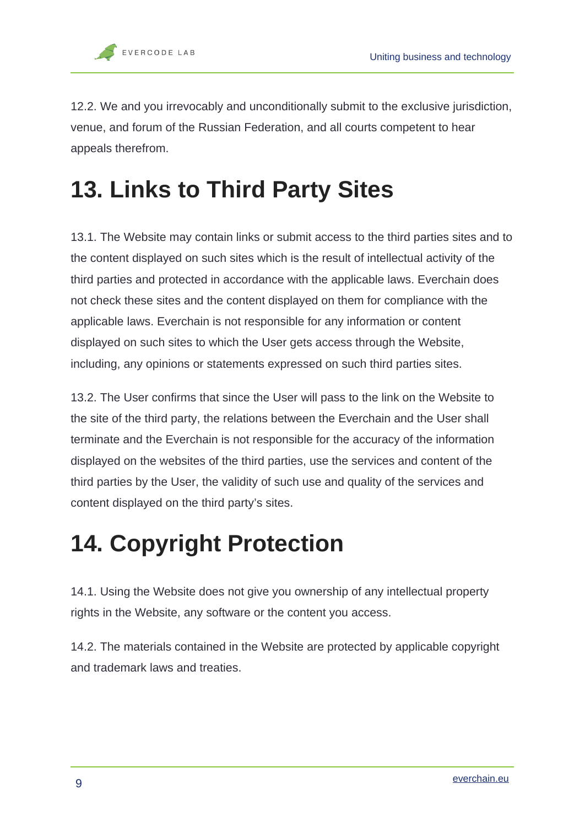12.2. We and you irrevocably and unconditionally submit to the exclusive jurisdiction, venue, and forum of the Russian Federation, and all courts competent to hear appeals therefrom.

# **13. Links to Third Party Sites**

13.1. The Website may contain links or submit access to the third parties sites and to the content displayed on such sites which is the result of intellectual activity of the third parties and protected in accordance with the applicable laws. Everchain does not check these sites and the content displayed on them for compliance with the applicable laws. Everchain is not responsible for any information or content displayed on such sites to which the User gets access through the Website, including, any opinions or statements expressed on such third parties sites.

13.2. The User confirms that since the User will pass to the link on the Website to the site of the third party, the relations between the Everchain and the User shall terminate and the Everchain is not responsible for the accuracy of the information displayed on the websites of the third parties, use the services and content of the third parties by the User, the validity of such use and quality of the services and content displayed on the third party's sites.

## **14. Copyright Protection**

14.1. Using the Website does not give you ownership of any intellectual property rights in the Website, any software or the content you access.

14.2. The materials contained in the Website are protected by applicable copyright and trademark laws and treaties.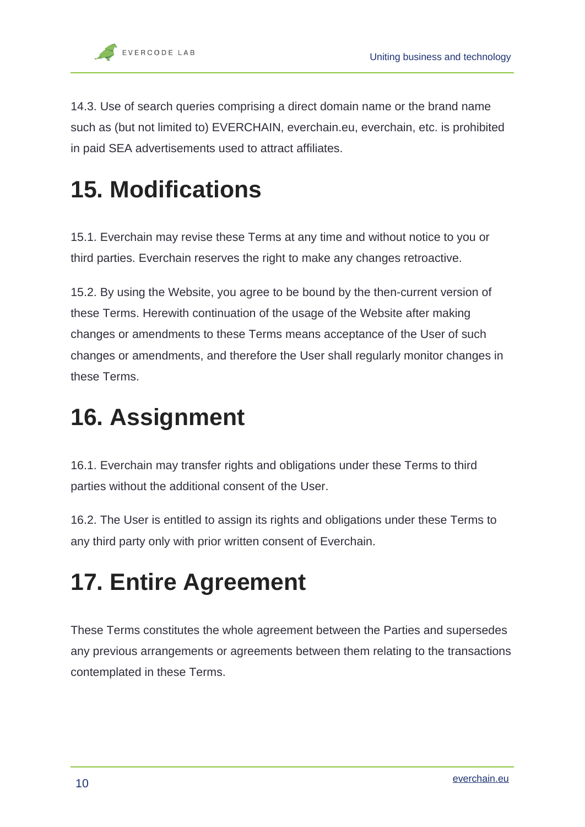14.3. Use of search queries comprising a direct domain name or the brand name such as (but not limited to) EVERCHAIN, everchain.eu, everchain, etc. is prohibited in paid SEA advertisements used to attract affiliates.

## **15. Modifications**

15.1. Everchain may revise these Terms at any time and without notice to you or third parties. Everchain reserves the right to make any changes retroactive.

15.2. By using the Website, you agree to be bound by the then-current version of these Terms. Herewith continuation of the usage of the Website after making changes or amendments to these Terms means acceptance of the User of such changes or amendments, and therefore the User shall regularly monitor changes in these Terms.

## **16. Assignment**

16.1. Everchain may transfer rights and obligations under these Terms to third parties without the additional consent of the User.

16.2. The User is entitled to assign its rights and obligations under these Terms to any third party only with prior written consent of Everchain.

# **17. Entire Agreement**

These Terms constitutes the whole agreement between the Parties and supersedes any previous arrangements or agreements between them relating to the transactions contemplated in these Terms.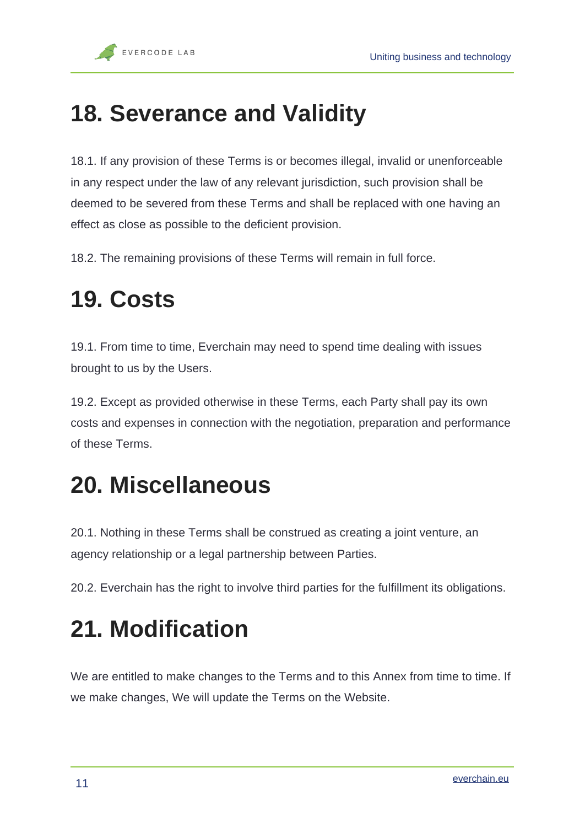## **18. Severance and Validity**

18.1. If any provision of these Terms is or becomes illegal, invalid or unenforceable in any respect under the law of any relevant jurisdiction, such provision shall be deemed to be severed from these Terms and shall be replaced with one having an effect as close as possible to the deficient provision.

18.2. The remaining provisions of these Terms will remain in full force.

#### **19. Costs**

19.1. From time to time, Everchain may need to spend time dealing with issues brought to us by the Users.

19.2. Except as provided otherwise in these Terms, each Party shall pay its own costs and expenses in connection with the negotiation, preparation and performance of these Terms.

#### **20. Miscellaneous**

20.1. Nothing in these Terms shall be construed as creating a joint venture, an agency relationship or a legal partnership between Parties.

20.2. Everchain has the right to involve third parties for the fulfillment its obligations.

#### **21. Modification**

We are entitled to make changes to the Terms and to this Annex from time to time. If we make changes, We will update the Terms on the Website.